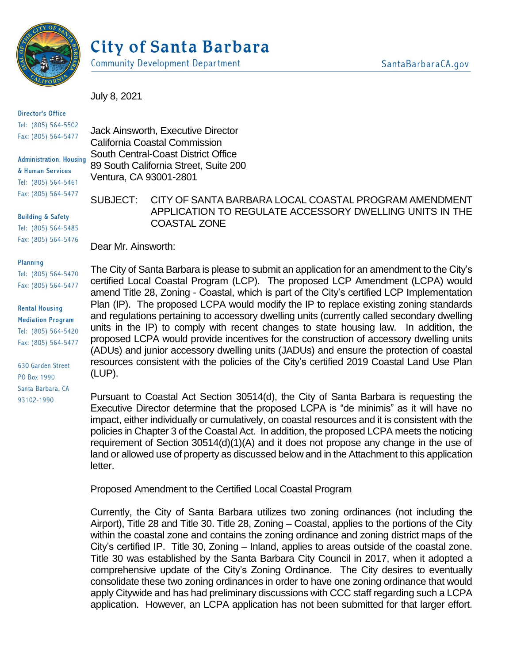

# City of Santa Barbara

**Community Development Department** 

July 8, 2021

#### **Director's Office** Tel: (805) 564-5502 Fax: (805) 564-5477

**Administration, Housing** & Human Services Tel: (805) 564-5461 Fax: (805) 564-5477

**Building & Safety** Tel: (805) 564-5485 Fax: (805) 564-5476

Jack Ainsworth, Executive Director California Coastal Commission South Central-Coast District Office 89 South California Street, Suite 200 Ventura, CA 93001-2801

# SUBJECT: CITY OF SANTA BARBARA LOCAL COASTAL PROGRAM AMENDMENT APPLICATION TO REGULATE ACCESSORY DWELLING UNITS IN THE COASTAL ZONE

Dear Mr. Ainsworth:

#### Planning

Tel: (805) 564-5470 Fax: (805) 564-5477

**Rental Housing Mediation Program** Tel: (805) 564-5420 Fax: (805) 564-5477

630 Garden Street PO Box 1990 Santa Barbara, CA 93102-1990

The City of Santa Barbara is please to submit an application for an amendment to the City's certified Local Coastal Program (LCP). The proposed LCP Amendment (LCPA) would amend Title 28, Zoning - Coastal, which is part of the City's certified LCP Implementation Plan (IP). The proposed LCPA would modify the IP to replace existing zoning standards and regulations pertaining to accessory dwelling units (currently called secondary dwelling units in the IP) to comply with recent changes to state housing law. In addition, the proposed LCPA would provide incentives for the construction of accessory dwelling units (ADUs) and junior accessory dwelling units (JADUs) and ensure the protection of coastal resources consistent with the policies of the City's certified 2019 Coastal Land Use Plan (LUP).

Pursuant to Coastal Act Section 30514(d), the City of Santa Barbara is requesting the Executive Director determine that the proposed LCPA is "de minimis" as it will have no impact, either individually or cumulatively, on coastal resources and it is consistent with the policies in Chapter 3 of the Coastal Act. In addition, the proposed LCPA meets the noticing requirement of Section 30514(d)(1)(A) and it does not propose any change in the use of land or allowed use of property as discussed below and in the Attachment to this application letter.

# Proposed Amendment to the Certified Local Coastal Program

Currently, the City of Santa Barbara utilizes two zoning ordinances (not including the Airport), Title 28 and Title 30. Title 28, Zoning – Coastal, applies to the portions of the City within the coastal zone and contains the zoning ordinance and zoning district maps of the City's certified IP. Title 30, Zoning – Inland, applies to areas outside of the coastal zone. Title 30 was established by the Santa Barbara City Council in 2017, when it adopted a comprehensive update of the City's Zoning Ordinance. The City desires to eventually consolidate these two zoning ordinances in order to have one zoning ordinance that would apply Citywide and has had preliminary discussions with CCC staff regarding such a LCPA application. However, an LCPA application has not been submitted for that larger effort.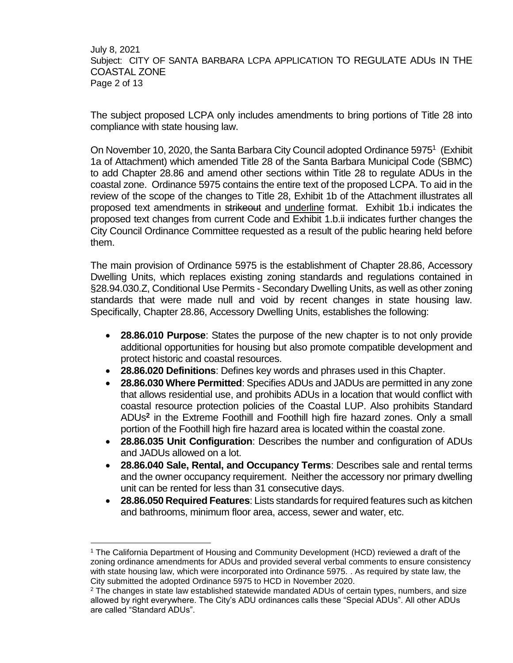July 8, 2021 Subject: CITY OF SANTA BARBARA LCPA APPLICATION TO REGULATE ADUs IN THE COASTAL ZONE Page 2 of 13

The subject proposed LCPA only includes amendments to bring portions of Title 28 into compliance with state housing law.

On November 10, 2020, the Santa Barbara City Council adopted Ordinance 5975<sup>1</sup> (Exhibit 1a of Attachment) which amended Title 28 of the Santa Barbara Municipal Code (SBMC) to add Chapter 28.86 and amend other sections within Title 28 to regulate ADUs in the coastal zone. Ordinance 5975 contains the entire text of the proposed LCPA. To aid in the review of the scope of the changes to Title 28, Exhibit 1b of the Attachment illustrates all proposed text amendments in strikeout and underline format. Exhibit 1b.i indicates the proposed text changes from current Code and Exhibit 1.b.ii indicates further changes the City Council Ordinance Committee requested as a result of the public hearing held before them.

The main provision of Ordinance 5975 is the establishment of Chapter 28.86, Accessory Dwelling Units, which replaces existing zoning standards and regulations contained in §28.94.030.Z, Conditional Use Permits - Secondary Dwelling Units, as well as other zoning standards that were made null and void by recent changes in state housing law. Specifically, Chapter 28.86, Accessory Dwelling Units, establishes the following:

- **28.86.010 Purpose**: States the purpose of the new chapter is to not only provide additional opportunities for housing but also promote compatible development and protect historic and coastal resources.
- **28.86.020 Definitions**: Defines key words and phrases used in this Chapter.
- **28.86.030 Where Permitted**: Specifies ADUs and JADUs are permitted in any zone that allows residential use, and prohibits ADUs in a location that would conflict with coastal resource protection policies of the Coastal LUP. Also prohibits Standard ADUs**<sup>2</sup>** in the Extreme Foothill and Foothill high fire hazard zones. Only a small portion of the Foothill high fire hazard area is located within the coastal zone.
- **28.86.035 Unit Configuration**: Describes the number and configuration of ADUs and JADUs allowed on a lot.
- **28.86.040 Sale, Rental, and Occupancy Terms**: Describes sale and rental terms and the owner occupancy requirement. Neither the accessory nor primary dwelling unit can be rented for less than 31 consecutive days.
- **28.86.050 Required Features**: Lists standards for required features such as kitchen and bathrooms, minimum floor area, access, sewer and water, etc.

l

<sup>1</sup> The California Department of Housing and Community Development (HCD) reviewed a draft of the zoning ordinance amendments for ADUs and provided several verbal comments to ensure consistency with state housing law, which were incorporated into Ordinance 5975. . As required by state law, the City submitted the adopted Ordinance 5975 to HCD in November 2020.

 $2$  The changes in state law established statewide mandated ADUs of certain types, numbers, and size allowed by right everywhere. The City's ADU ordinances calls these "Special ADUs". All other ADUs are called "Standard ADUs".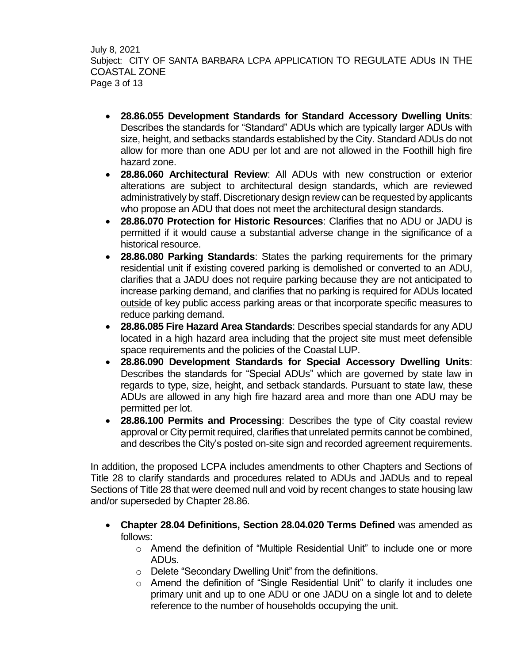July 8, 2021 Subject: CITY OF SANTA BARBARA LCPA APPLICATION TO REGULATE ADUs IN THE COASTAL ZONE Page 3 of 13

- **28.86.055 Development Standards for Standard Accessory Dwelling Units**: Describes the standards for "Standard" ADUs which are typically larger ADUs with size, height, and setbacks standards established by the City. Standard ADUs do not allow for more than one ADU per lot and are not allowed in the Foothill high fire hazard zone.
- **28.86.060 Architectural Review**: All ADUs with new construction or exterior alterations are subject to architectural design standards, which are reviewed administratively by staff. Discretionary design review can be requested by applicants who propose an ADU that does not meet the architectural design standards.
- **28.86.070 Protection for Historic Resources**: Clarifies that no ADU or JADU is permitted if it would cause a substantial adverse change in the significance of a historical resource.
- **28.86.080 Parking Standards**: States the parking requirements for the primary residential unit if existing covered parking is demolished or converted to an ADU, clarifies that a JADU does not require parking because they are not anticipated to increase parking demand, and clarifies that no parking is required for ADUs located outside of key public access parking areas or that incorporate specific measures to reduce parking demand.
- **28.86.085 Fire Hazard Area Standards**: Describes special standards for any ADU located in a high hazard area including that the project site must meet defensible space requirements and the policies of the Coastal LUP.
- **28.86.090 Development Standards for Special Accessory Dwelling Units**: Describes the standards for "Special ADUs" which are governed by state law in regards to type, size, height, and setback standards. Pursuant to state law, these ADUs are allowed in any high fire hazard area and more than one ADU may be permitted per lot.
- **28.86.100 Permits and Processing**: Describes the type of City coastal review approval or City permit required, clarifies that unrelated permits cannot be combined, and describes the City's posted on-site sign and recorded agreement requirements.

In addition, the proposed LCPA includes amendments to other Chapters and Sections of Title 28 to clarify standards and procedures related to ADUs and JADUs and to repeal Sections of Title 28 that were deemed null and void by recent changes to state housing law and/or superseded by Chapter 28.86.

- **Chapter 28.04 Definitions, Section 28.04.020 Terms Defined** was amended as follows:
	- o Amend the definition of "Multiple Residential Unit" to include one or more ADUs.
	- o Delete "Secondary Dwelling Unit" from the definitions.
	- o Amend the definition of "Single Residential Unit" to clarify it includes one primary unit and up to one ADU or one JADU on a single lot and to delete reference to the number of households occupying the unit.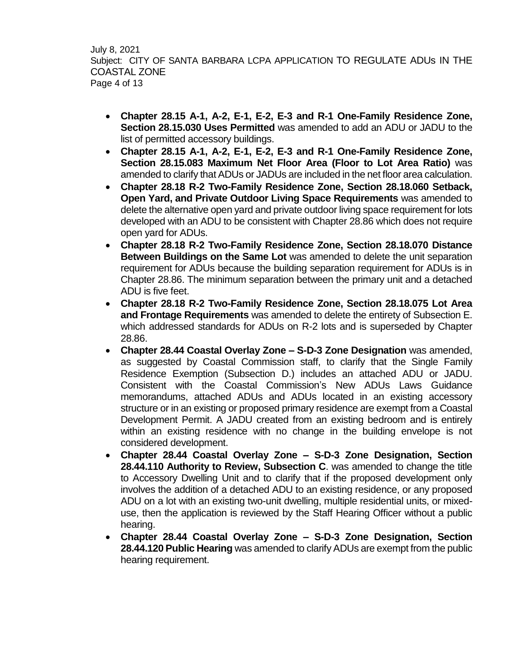July 8, 2021 Subject: CITY OF SANTA BARBARA LCPA APPLICATION TO REGULATE ADUs IN THE COASTAL ZONE Page 4 of 13

- **Chapter 28.15 A-1, A-2, E-1, E-2, E-3 and R-1 One-Family Residence Zone, Section 28.15.030 Uses Permitted** was amended to add an ADU or JADU to the list of permitted accessory buildings.
- **Chapter 28.15 A-1, A-2, E-1, E-2, E-3 and R-1 One-Family Residence Zone, Section 28.15.083 Maximum Net Floor Area (Floor to Lot Area Ratio)** was amended to clarify that ADUs or JADUs are included in the net floor area calculation.
- **Chapter 28.18 R-2 Two-Family Residence Zone, Section 28.18.060 Setback, Open Yard, and Private Outdoor Living Space Requirements** was amended to delete the alternative open yard and private outdoor living space requirement for lots developed with an ADU to be consistent with Chapter 28.86 which does not require open yard for ADUs.
- **Chapter 28.18 R-2 Two-Family Residence Zone, Section 28.18.070 Distance Between Buildings on the Same Lot** was amended to delete the unit separation requirement for ADUs because the building separation requirement for ADUs is in Chapter 28.86. The minimum separation between the primary unit and a detached ADU is five feet.
- **Chapter 28.18 R-2 Two-Family Residence Zone, Section 28.18.075 Lot Area and Frontage Requirements** was amended to delete the entirety of Subsection E. which addressed standards for ADUs on R-2 lots and is superseded by Chapter 28.86.
- **Chapter 28.44 Coastal Overlay Zone – S-D-3 Zone Designation** was amended, as suggested by Coastal Commission staff, to clarify that the Single Family Residence Exemption (Subsection D.) includes an attached ADU or JADU. Consistent with the Coastal Commission's New ADUs Laws Guidance memorandums, attached ADUs and ADUs located in an existing accessory structure or in an existing or proposed primary residence are exempt from a Coastal Development Permit. A JADU created from an existing bedroom and is entirely within an existing residence with no change in the building envelope is not considered development.
- **Chapter 28.44 Coastal Overlay Zone – S-D-3 Zone Designation, Section 28.44.110 Authority to Review, Subsection C**. was amended to change the title to Accessory Dwelling Unit and to clarify that if the proposed development only involves the addition of a detached ADU to an existing residence, or any proposed ADU on a lot with an existing two-unit dwelling, multiple residential units, or mixeduse, then the application is reviewed by the Staff Hearing Officer without a public hearing.
- **Chapter 28.44 Coastal Overlay Zone – S-D-3 Zone Designation, Section 28.44.120 Public Hearing** was amended to clarify ADUs are exempt from the public hearing requirement.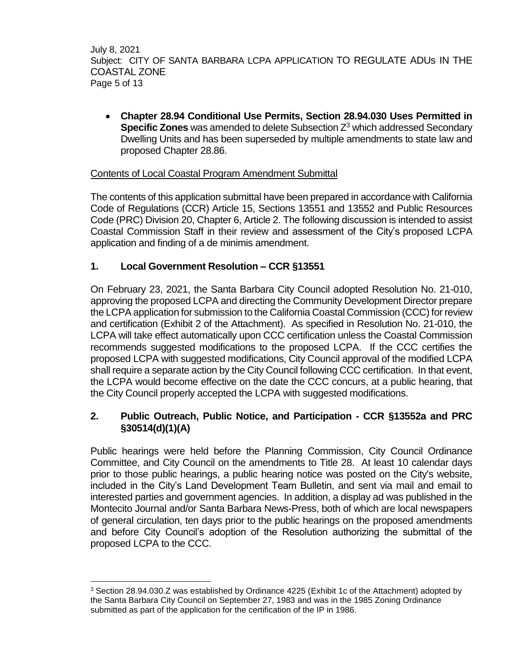July 8, 2021 Subject: CITY OF SANTA BARBARA LCPA APPLICATION TO REGULATE ADUs IN THE COASTAL ZONE Page 5 of 13

 **Chapter 28.94 Conditional Use Permits, Section 28.94.030 Uses Permitted in Specific Zones** was amended to delete Subsection Z<sup>3</sup> which addressed Secondary Dwelling Units and has been superseded by multiple amendments to state law and proposed Chapter 28.86.

## Contents of Local Coastal Program Amendment Submittal

The contents of this application submittal have been prepared in accordance with California Code of Regulations (CCR) Article 15, Sections 13551 and 13552 and Public Resources Code (PRC) Division 20, Chapter 6, Article 2. The following discussion is intended to assist Coastal Commission Staff in their review and assessment of the City's proposed LCPA application and finding of a de minimis amendment.

# **1. Local Government Resolution – CCR §13551**

 $\overline{\phantom{a}}$ 

On February 23, 2021, the Santa Barbara City Council adopted Resolution No. 21-010, approving the proposed LCPA and directing the Community Development Director prepare the LCPA application for submission to the California Coastal Commission (CCC) for review and certification (Exhibit 2 of the Attachment). As specified in Resolution No. 21-010, the LCPA will take effect automatically upon CCC certification unless the Coastal Commission recommends suggested modifications to the proposed LCPA. If the CCC certifies the proposed LCPA with suggested modifications, City Council approval of the modified LCPA shall require a separate action by the City Council following CCC certification. In that event, the LCPA would become effective on the date the CCC concurs, at a public hearing, that the City Council properly accepted the LCPA with suggested modifications.

# **2. Public Outreach, Public Notice, and Participation - CCR §13552a and PRC §30514(d)(1)(A)**

Public hearings were held before the Planning Commission, City Council Ordinance Committee, and City Council on the amendments to Title 28. At least 10 calendar days prior to those public hearings, a public hearing notice was posted on the City's website, included in the City's Land Development Team Bulletin, and sent via mail and email to interested parties and government agencies. In addition, a display ad was published in the Montecito Journal and/or Santa Barbara News-Press, both of which are local newspapers of general circulation, ten days prior to the public hearings on the proposed amendments and before City Council's adoption of the Resolution authorizing the submittal of the proposed LCPA to the CCC.

<sup>&</sup>lt;sup>3</sup> Section 28.94.030.Z was established by Ordinance 4225 (Exhibit 1c of the Attachment) adopted by the Santa Barbara City Council on September 27, 1983 and was in the 1985 Zoning Ordinance submitted as part of the application for the certification of the IP in 1986.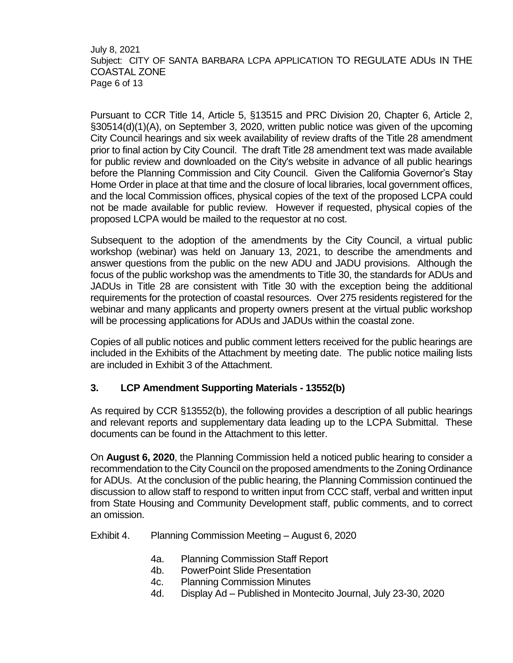July 8, 2021 Subject: CITY OF SANTA BARBARA LCPA APPLICATION TO REGULATE ADUs IN THE COASTAL ZONE Page 6 of 13

Pursuant to CCR Title 14, Article 5, §13515 and PRC Division 20, Chapter 6, Article 2, §30514(d)(1)(A), on September 3, 2020, written public notice was given of the upcoming City Council hearings and six week availability of review drafts of the Title 28 amendment prior to final action by City Council. The draft Title 28 amendment text was made available for public review and downloaded on the City's website in advance of all public hearings before the Planning Commission and City Council. Given the California Governor's Stay Home Order in place at that time and the closure of local libraries, local government offices, and the local Commission offices, physical copies of the text of the proposed LCPA could not be made available for public review. However if requested, physical copies of the proposed LCPA would be mailed to the requestor at no cost.

Subsequent to the adoption of the amendments by the City Council, a virtual public workshop (webinar) was held on January 13, 2021, to describe the amendments and answer questions from the public on the new ADU and JADU provisions. Although the focus of the public workshop was the amendments to Title 30, the standards for ADUs and JADUs in Title 28 are consistent with Title 30 with the exception being the additional requirements for the protection of coastal resources. Over 275 residents registered for the webinar and many applicants and property owners present at the virtual public workshop will be processing applications for ADUs and JADUs within the coastal zone.

Copies of all public notices and public comment letters received for the public hearings are included in the Exhibits of the Attachment by meeting date. The public notice mailing lists are included in Exhibit 3 of the Attachment.

## **3. LCP Amendment Supporting Materials - 13552(b)**

As required by CCR §13552(b), the following provides a description of all public hearings and relevant reports and supplementary data leading up to the LCPA Submittal. These documents can be found in the Attachment to this letter.

On **August 6, 2020**, the Planning Commission held a noticed public hearing to consider a recommendation to the City Council on the proposed amendments to the Zoning Ordinance for ADUs. At the conclusion of the public hearing, the Planning Commission continued the discussion to allow staff to respond to written input from CCC staff, verbal and written input from State Housing and Community Development staff, public comments, and to correct an omission.

Exhibit 4. Planning Commission Meeting – August 6, 2020

- 4a. Planning Commission Staff Report
- 4b. PowerPoint Slide Presentation
- 4c. Planning Commission Minutes
- 4d. Display Ad Published in Montecito Journal, July 23-30, 2020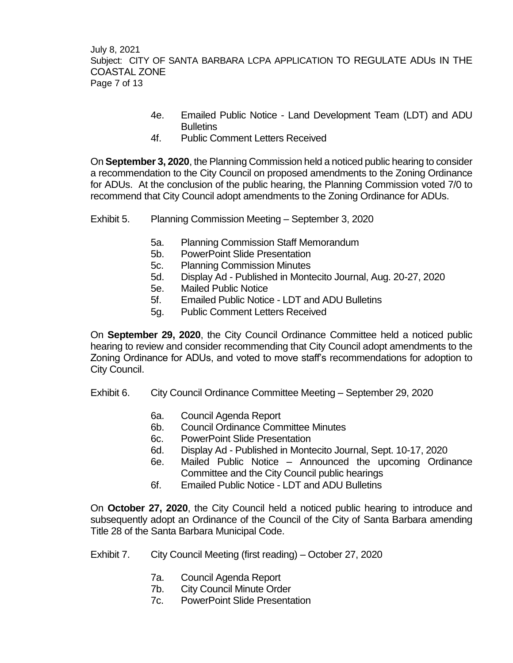July 8, 2021 Subject: CITY OF SANTA BARBARA LCPA APPLICATION TO REGULATE ADUs IN THE COASTAL ZONE Page 7 of 13

- 4e. Emailed Public Notice Land Development Team (LDT) and ADU **Bulletins**
- 4f. Public Comment Letters Received

On **September 3, 2020**, the Planning Commission held a noticed public hearing to consider a recommendation to the City Council on proposed amendments to the Zoning Ordinance for ADUs. At the conclusion of the public hearing, the Planning Commission voted 7/0 to recommend that City Council adopt amendments to the Zoning Ordinance for ADUs.

- Exhibit 5. Planning Commission Meeting September 3, 2020
	- 5a. Planning Commission Staff Memorandum
	- 5b. PowerPoint Slide Presentation
	- 5c. Planning Commission Minutes
	- 5d. Display Ad Published in Montecito Journal, Aug. 20-27, 2020
	- 5e. Mailed Public Notice
	- 5f. Emailed Public Notice LDT and ADU Bulletins
	- 5g. Public Comment Letters Received

On **September 29, 2020**, the City Council Ordinance Committee held a noticed public hearing to review and consider recommending that City Council adopt amendments to the Zoning Ordinance for ADUs, and voted to move staff's recommendations for adoption to City Council.

- Exhibit 6. City Council Ordinance Committee Meeting September 29, 2020
	- 6a. Council Agenda Report
	- 6b. Council Ordinance Committee Minutes
	- 6c. PowerPoint Slide Presentation
	- 6d. Display Ad Published in Montecito Journal, Sept. 10-17, 2020
	- 6e. Mailed Public Notice Announced the upcoming Ordinance Committee and the City Council public hearings
	- 6f. Emailed Public Notice LDT and ADU Bulletins

On **October 27, 2020**, the City Council held a noticed public hearing to introduce and subsequently adopt an Ordinance of the Council of the City of Santa Barbara amending Title 28 of the Santa Barbara Municipal Code.

- Exhibit 7. City Council Meeting (first reading) October 27, 2020
	- 7a. Council Agenda Report
	- 7b. City Council Minute Order
	- 7c. PowerPoint Slide Presentation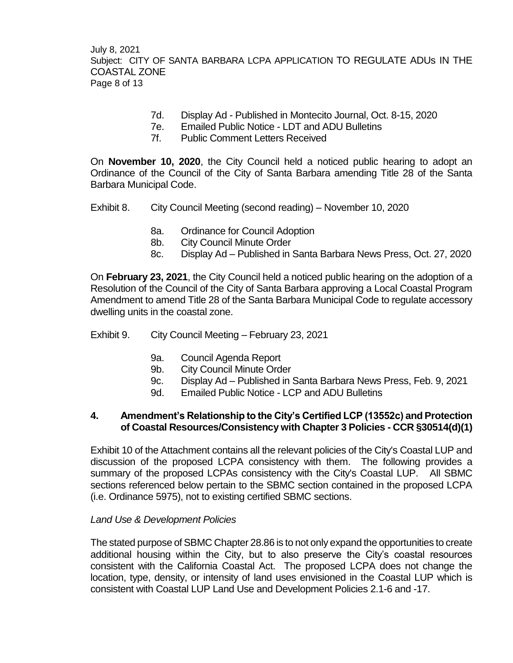July 8, 2021 Subject: CITY OF SANTA BARBARA LCPA APPLICATION TO REGULATE ADUs IN THE COASTAL ZONE Page 8 of 13

- 7d. Display Ad Published in Montecito Journal, Oct. 8-15, 2020
- 7e. Emailed Public Notice LDT and ADU Bulletins
- 7f. Public Comment Letters Received

On **November 10, 2020**, the City Council held a noticed public hearing to adopt an Ordinance of the Council of the City of Santa Barbara amending Title 28 of the Santa Barbara Municipal Code.

- Exhibit 8. City Council Meeting (second reading) November 10, 2020
	- 8a. Ordinance for Council Adoption
	- 8b. City Council Minute Order
	- 8c. Display Ad Published in Santa Barbara News Press, Oct. 27, 2020

On **February 23, 2021**, the City Council held a noticed public hearing on the adoption of a Resolution of the Council of the City of Santa Barbara approving a Local Coastal Program Amendment to amend Title 28 of the Santa Barbara Municipal Code to regulate accessory dwelling units in the coastal zone.

- Exhibit 9. City Council Meeting February 23, 2021
	- 9a. Council Agenda Report
	- 9b. City Council Minute Order
	- 9c. Display Ad Published in Santa Barbara News Press, Feb. 9, 2021
	- 9d. Emailed Public Notice LCP and ADU Bulletins

## **4. Amendment's Relationship to the City's Certified LCP (13552c) and Protection of Coastal Resources/Consistency with Chapter 3 Policies - CCR §30514(d)(1)**

Exhibit 10 of the Attachment contains all the relevant policies of the City's Coastal LUP and discussion of the proposed LCPA consistency with them. The following provides a summary of the proposed LCPAs consistency with the City's Coastal LUP. All SBMC sections referenced below pertain to the SBMC section contained in the proposed LCPA (i.e. Ordinance 5975), not to existing certified SBMC sections.

#### *Land Use & Development Policies*

The stated purpose of SBMC Chapter 28.86 is to not only expand the opportunities to create additional housing within the City, but to also preserve the City's coastal resources consistent with the California Coastal Act. The proposed LCPA does not change the location, type, density, or intensity of land uses envisioned in the Coastal LUP which is consistent with Coastal LUP Land Use and Development Policies 2.1-6 and -17.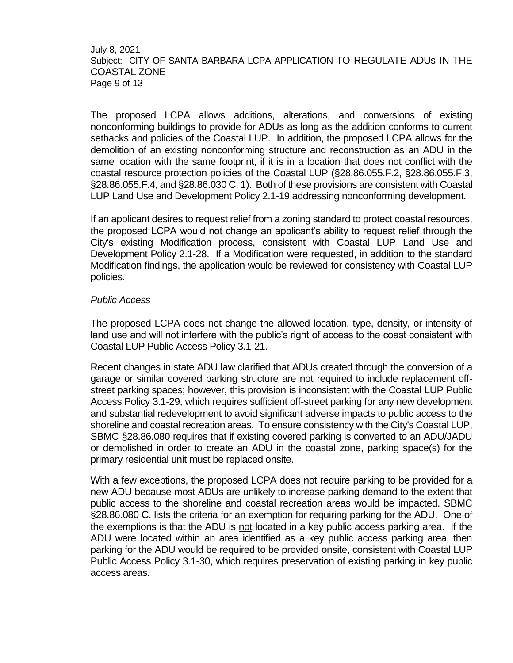#### July 8, 2021 Subject: CITY OF SANTA BARBARA LCPA APPLICATION TO REGULATE ADUs IN THE COASTAL ZONE Page 9 of 13

The proposed LCPA allows additions, alterations, and conversions of existing nonconforming buildings to provide for ADUs as long as the addition conforms to current setbacks and policies of the Coastal LUP. In addition, the proposed LCPA allows for the demolition of an existing nonconforming structure and reconstruction as an ADU in the same location with the same footprint, if it is in a location that does not conflict with the coastal resource protection policies of the Coastal LUP (§28.86.055.F.2, §28.86.055.F.3, §28.86.055.F.4, and §28.86.030 C. 1). Both of these provisions are consistent with Coastal LUP Land Use and Development Policy 2.1-19 addressing nonconforming development.

If an applicant desires to request relief from a zoning standard to protect coastal resources, the proposed LCPA would not change an applicant's ability to request relief through the City's existing Modification process, consistent with Coastal LUP Land Use and Development Policy 2.1-28. If a Modification were requested, in addition to the standard Modification findings, the application would be reviewed for consistency with Coastal LUP policies.

#### *Public Access*

The proposed LCPA does not change the allowed location, type, density, or intensity of land use and will not interfere with the public's right of access to the coast consistent with Coastal LUP Public Access Policy 3.1-21.

Recent changes in state ADU law clarified that ADUs created through the conversion of a garage or similar covered parking structure are not required to include replacement offstreet parking spaces; however, this provision is inconsistent with the Coastal LUP Public Access Policy 3.1-29, which requires sufficient off-street parking for any new development and substantial redevelopment to avoid significant adverse impacts to public access to the shoreline and coastal recreation areas. To ensure consistency with the City's Coastal LUP, SBMC §28.86.080 requires that if existing covered parking is converted to an ADU/JADU or demolished in order to create an ADU in the coastal zone, parking space(s) for the primary residential unit must be replaced onsite.

With a few exceptions, the proposed LCPA does not require parking to be provided for a new ADU because most ADUs are unlikely to increase parking demand to the extent that public access to the shoreline and coastal recreation areas would be impacted. SBMC §28.86.080 C. lists the criteria for an exemption for requiring parking for the ADU. One of the exemptions is that the ADU is not located in a key public access parking area. If the ADU were located within an area identified as a key public access parking area, then parking for the ADU would be required to be provided onsite, consistent with Coastal LUP Public Access Policy 3.1-30, which requires preservation of existing parking in key public access areas.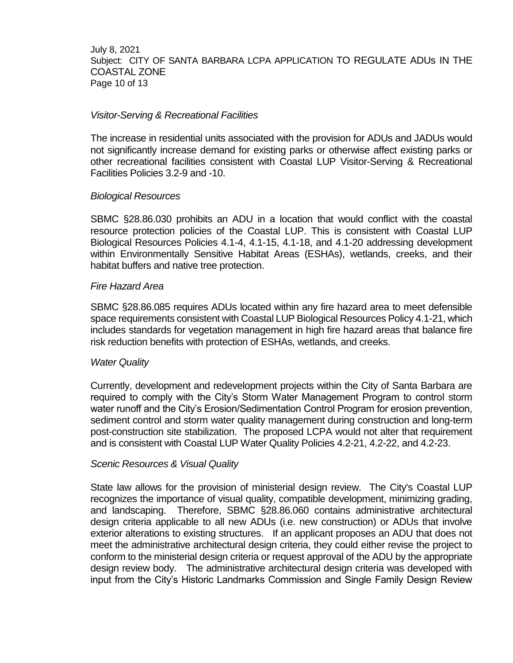July 8, 2021 Subject: CITY OF SANTA BARBARA LCPA APPLICATION TO REGULATE ADUs IN THE COASTAL ZONE Page 10 of 13

#### *Visitor-Serving & Recreational Facilities*

The increase in residential units associated with the provision for ADUs and JADUs would not significantly increase demand for existing parks or otherwise affect existing parks or other recreational facilities consistent with Coastal LUP Visitor-Serving & Recreational Facilities Policies 3.2-9 and -10.

#### *Biological Resources*

SBMC §28.86.030 prohibits an ADU in a location that would conflict with the coastal resource protection policies of the Coastal LUP. This is consistent with Coastal LUP Biological Resources Policies 4.1-4, 4.1-15, 4.1-18, and 4.1-20 addressing development within Environmentally Sensitive Habitat Areas (ESHAs), wetlands, creeks, and their habitat buffers and native tree protection.

#### *Fire Hazard Area*

SBMC §28.86.085 requires ADUs located within any fire hazard area to meet defensible space requirements consistent with Coastal LUP Biological Resources Policy 4.1-21, which includes standards for vegetation management in high fire hazard areas that balance fire risk reduction benefits with protection of ESHAs, wetlands, and creeks.

#### *Water Quality*

Currently, development and redevelopment projects within the City of Santa Barbara are required to comply with the City's Storm Water Management Program to control storm water runoff and the City's Erosion/Sedimentation Control Program for erosion prevention, sediment control and storm water quality management during construction and long-term post-construction site stabilization. The proposed LCPA would not alter that requirement and is consistent with Coastal LUP Water Quality Policies 4.2-21, 4.2-22, and 4.2-23.

#### *Scenic Resources & Visual Quality*

State law allows for the provision of ministerial design review. The City's Coastal LUP recognizes the importance of visual quality, compatible development, minimizing grading, and landscaping. Therefore, SBMC §28.86.060 contains administrative architectural design criteria applicable to all new ADUs (i.e. new construction) or ADUs that involve exterior alterations to existing structures. If an applicant proposes an ADU that does not meet the administrative architectural design criteria, they could either revise the project to conform to the ministerial design criteria or request approval of the ADU by the appropriate design review body. The administrative architectural design criteria was developed with input from the City's Historic Landmarks Commission and Single Family Design Review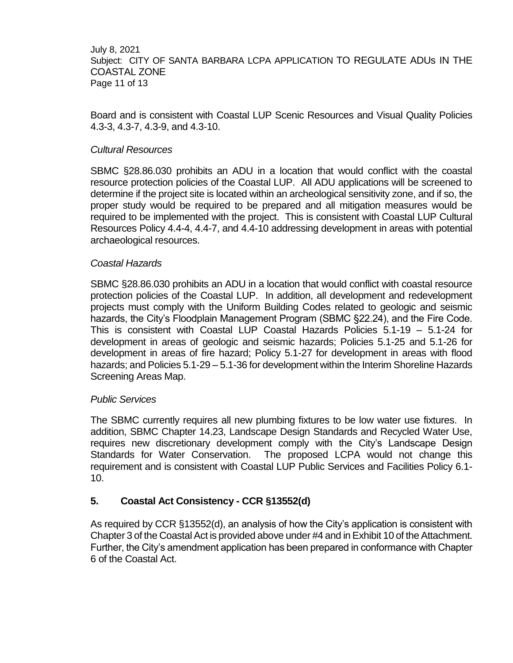July 8, 2021 Subject: CITY OF SANTA BARBARA LCPA APPLICATION TO REGULATE ADUs IN THE COASTAL ZONE Page 11 of 13

Board and is consistent with Coastal LUP Scenic Resources and Visual Quality Policies 4.3-3, 4.3-7, 4.3-9, and 4.3-10.

## *Cultural Resources*

SBMC §28.86.030 prohibits an ADU in a location that would conflict with the coastal resource protection policies of the Coastal LUP. All ADU applications will be screened to determine if the project site is located within an archeological sensitivity zone, and if so, the proper study would be required to be prepared and all mitigation measures would be required to be implemented with the project. This is consistent with Coastal LUP Cultural Resources Policy 4.4-4, 4.4-7, and 4.4-10 addressing development in areas with potential archaeological resources.

## *Coastal Hazards*

SBMC §28.86.030 prohibits an ADU in a location that would conflict with coastal resource protection policies of the Coastal LUP. In addition, all development and redevelopment projects must comply with the Uniform Building Codes related to geologic and seismic hazards, the City's Floodplain Management Program (SBMC §22.24), and the Fire Code. This is consistent with Coastal LUP Coastal Hazards Policies 5.1-19 – 5.1-24 for development in areas of geologic and seismic hazards; Policies 5.1-25 and 5.1-26 for development in areas of fire hazard; Policy 5.1-27 for development in areas with flood hazards; and Policies 5.1-29 – 5.1-36 for development within the Interim Shoreline Hazards Screening Areas Map.

#### *Public Services*

The SBMC currently requires all new plumbing fixtures to be low water use fixtures. In addition, SBMC Chapter 14.23, Landscape Design Standards and Recycled Water Use, requires new discretionary development comply with the City's Landscape Design Standards for Water Conservation. The proposed LCPA would not change this requirement and is consistent with Coastal LUP Public Services and Facilities Policy 6.1- 10.

## **5. Coastal Act Consistency - CCR §13552(d)**

As required by CCR §13552(d), an analysis of how the City's application is consistent with Chapter 3 of the Coastal Act is provided above under #4 and in Exhibit 10 of the Attachment. Further, the City's amendment application has been prepared in conformance with Chapter 6 of the Coastal Act.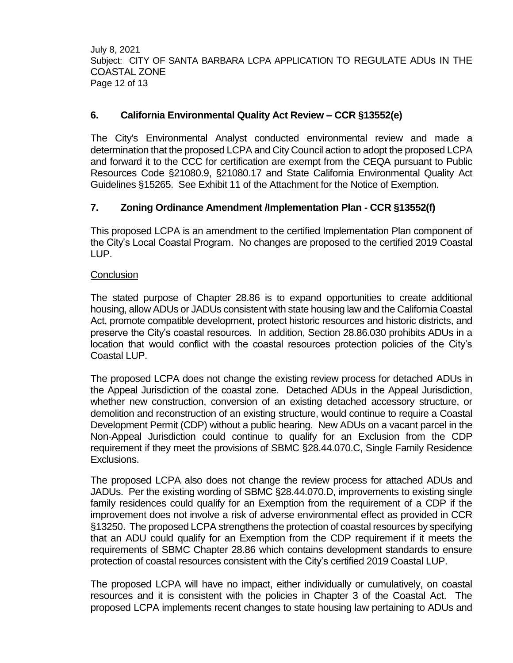July 8, 2021 Subject: CITY OF SANTA BARBARA LCPA APPLICATION TO REGULATE ADUs IN THE COASTAL ZONE Page 12 of 13

# **6. California Environmental Quality Act Review – CCR §13552(e)**

The City's Environmental Analyst conducted environmental review and made a determination that the proposed LCPA and City Council action to adopt the proposed LCPA and forward it to the CCC for certification are exempt from the CEQA pursuant to Public Resources Code §21080.9, §21080.17 and State California Environmental Quality Act Guidelines §15265. See Exhibit 11 of the Attachment for the Notice of Exemption.

# **7. Zoning Ordinance Amendment /Implementation Plan - CCR §13552(f)**

This proposed LCPA is an amendment to the certified Implementation Plan component of the City's Local Coastal Program. No changes are proposed to the certified 2019 Coastal LUP.

## **Conclusion**

The stated purpose of Chapter 28.86 is to expand opportunities to create additional housing, allow ADUs or JADUs consistent with state housing law and the California Coastal Act, promote compatible development, protect historic resources and historic districts, and preserve the City's coastal resources. In addition, Section 28.86.030 prohibits ADUs in a location that would conflict with the coastal resources protection policies of the City's Coastal LUP.

The proposed LCPA does not change the existing review process for detached ADUs in the Appeal Jurisdiction of the coastal zone. Detached ADUs in the Appeal Jurisdiction, whether new construction, conversion of an existing detached accessory structure, or demolition and reconstruction of an existing structure, would continue to require a Coastal Development Permit (CDP) without a public hearing. New ADUs on a vacant parcel in the Non-Appeal Jurisdiction could continue to qualify for an Exclusion from the CDP requirement if they meet the provisions of SBMC §28.44.070.C, Single Family Residence Exclusions.

The proposed LCPA also does not change the review process for attached ADUs and JADUs. Per the existing wording of SBMC §28.44.070.D, improvements to existing single family residences could qualify for an Exemption from the requirement of a CDP if the improvement does not involve a risk of adverse environmental effect as provided in CCR §13250. The proposed LCPA strengthens the protection of coastal resources by specifying that an ADU could qualify for an Exemption from the CDP requirement if it meets the requirements of SBMC Chapter 28.86 which contains development standards to ensure protection of coastal resources consistent with the City's certified 2019 Coastal LUP.

The proposed LCPA will have no impact, either individually or cumulatively, on coastal resources and it is consistent with the policies in Chapter 3 of the Coastal Act. The proposed LCPA implements recent changes to state housing law pertaining to ADUs and